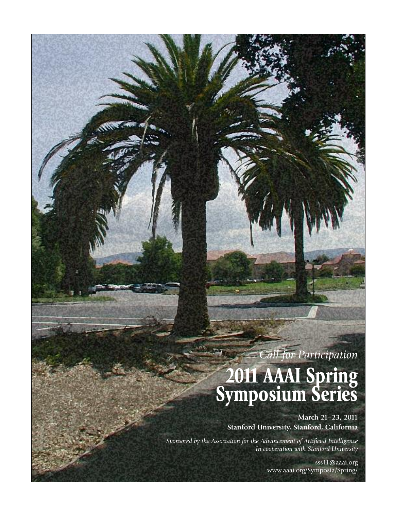# *Call for Participation*

# **2011 AAAI Spring Symposium Series**

**March 21–23, 2011 Stanford University, Stanford, California**

*Sponsored by the Association for the Advancement of Artificial Intelligence In cooperation with Stanford University*

> sss11@aaai.org www.aaai.org/Symposia/Spring/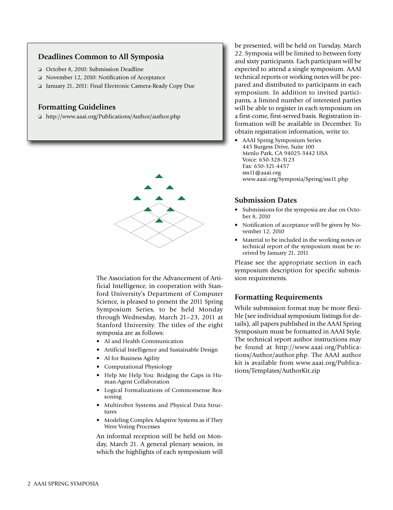#### **Deadlines Common to All Symposia**

- o October 8, 2010: Submission Deadline
- □ November 12, 2010: Notification of Acceptance
- o January 21, 2011: Final Electronic Camera-Ready Copy Due

#### **Formatting Guidelines**

o http://www.aaai.org/Publications/Author/author.php



The Association for the Advancement of Artificial Intelligence, in cooperation with Stanford University's Department of Computer Science, is pleased to present the 2011 Spring Symposium Series, to be held Monday through Wednesday, March 21–23, 2011 at Stanford University. The titles of the eight symposia are as follows:

- AI and Health Communication
- Artificial Intelligence and Sustainable Design
- AI for Business Agility
- Computational Physiology
- Help Me Help You: Bridging the Gaps in Human-Agent Collaboration
- Logical Formalizations of Commonsense Reasoning
- Multirobot Systems and Physical Data Structures
- Modeling Complex Adaptive Systems as if They Were Voting Processes

An informal reception will be held on Monday, March 21. A general plenary session, in which the highlights of each symposium will

be presented, will be held on Tuesday, March 22. Symposia will be limited to between forty and sixty participants. Each participant will be expected to attend a single symposium. AAAI technical reports or working notes will be prepared and distributed to participants in each symposium. In addition to invited participants, a limited number of interested parties will be able to register in each symposium on a first-come, first-served basis. Registration information will be available in December. To obtain registration information, write to:

• AAAI Spring Symposium Series 445 Burgess Drive, Suite 100 Menlo Park, CA 94025-3442 USA Voice: 650-328-3123 Fax: 650-321-4457 sss11@aaai.org www.aaai.org/Symposia/Spring/sss11.php

#### **Submission Dates**

- Submissions for the symposia are due on October 8, 2010
- Notification of acceptance will be given by November 12, 2010
- Material to be included in the working notes or technical report of the symposium must be received by January 21, 2011

Please see the appropriate section in each symposium description for specific submission requirements.

#### **Formatting Requirements**

While submission format may be more flexible (see individual symposium listings for details), all papers published in the AAAI Spring Symposium must be formatted in AAAI Style. The technical report author instructions may be found at http://www.aaai.org/Publications/Author/author.php. The AAAI author kit is available from www.aaai.org/Publications/Templates/AuthorKit.zip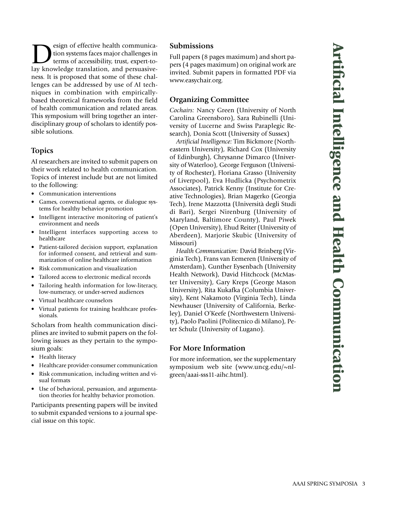$\sum$  esign of effective health communication<br>terms of accessibility, trust, expert-to-<br>lay knowledge translation, and persuasivetion systems faces major challenges in lay knowledge translation, and persuasiveness. It is proposed that some of these challenges can be addressed by use of AI techniques in combination with empiricallybased theoretical frameworks from the field of health communication and related areas. This symposium will bring together an interdisciplinary group of scholars to identify possible solutions.

# **Topics**

AI researchers are invited to submit papers on their work related to health communication. Topics of interest include but are not limited to the following:

- Communication interventions
- Games, conversational agents, or dialogue systems for healthy behavior promotion
- Intelligent interactive monitoring of patient's environment and needs
- Intelligent interfaces supporting access to healthcare
- Patient-tailored decision support, explanation for informed consent, and retrieval and summarization of online healthcare information
- Risk communication and visualization
- Tailored access to electronic medical records
- Tailoring health information for low-literacy, low-numeracy, or under-served audiences
- Virtual healthcare counselors
- Virtual patients for training healthcare professionals.

Scholars from health communication disciplines are invited to submit papers on the following issues as they pertain to the symposium goals:

- Health literacy
- Healthcare provider-consumer communication
- Risk communication, including written and visual formats
- Use of behavioral, persuasion, and argumentation theories for healthy behavior promotion.

Participants presenting papers will be invited to submit expanded versions to a journal special issue on this topic.

# **Submissions**

Full papers (8 pages maximum) and short papers (4 pages maximum) on original work are invited. Submit papers in formatted PDF via www.easychair.org.

# **Organizing Committee**

*Cochairs:* Nancy Green (University of North Carolina Greensboro), Sara Rubinelli (University of Lucerne and Swiss Paraplegic Research), Donia Scott (University of Sussex)

*Artificial Intelligence:* Tim Bickmore (Northeastern University), Richard Cox (University of Edinburgh), Chrysanne Dimarco (University of Waterloo), George Ferguson (University of Rochester), Floriana Grasso (University of Liverpool), Eva Hudlicka (Psychometrix Associates), Patrick Kenny (Institute for Creative Technologies), Brian Magerko (Georgia Tech), Irene Mazzotta (Università degli Studi di Bari), Sergei Nirenburg (University of Maryland, Baltimore County), Paul Piwek (Open University), Ehud Reiter (University of Aberdeen), Marjorie Skubic (University of Missouri)

*Health Communication:* David Brinberg (Virginia Tech), Frans van Eemeren (University of Amsterdam), Gunther Eysenbach (University Health Network), David Hitchcock (McMaster University), Gary Kreps (George Mason University), Rita Kukafka (Columbia University), Kent Nakamoto (Virginia Tech), Linda Newhauser (University of California, Berkeley), Daniel O'Keefe (Northwestern University), Paolo Paolini (Politecnico di Milano), Peter Schulz (University of Lugano).

# **For More Information**

For more information, see the supplementary symposium web site (www.uncg.edu/~nlgreen/aaai-sss11-aihc.html).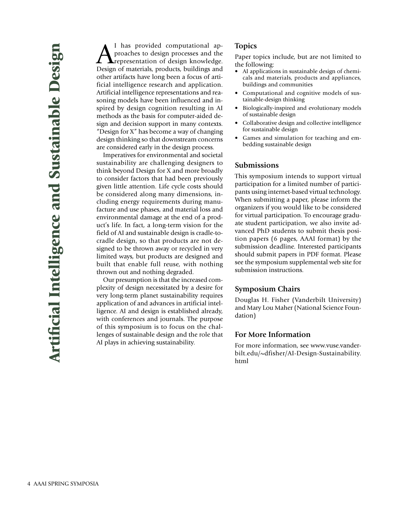A I has provided computational approaches to design processes and the<br>
representation of design knowledge.<br>
Design of materials products buildings and proaches to design processes and the Design of materials, products, buildings and other artifacts have long been a focus of artificial intelligence research and application. Artificial intelligence representations and reasoning models have been influenced and inspired by design cognition resulting in AI methods as the basis for computer-aided design and decision support in many contexts. "Design for X" has become a way of changing design thinking so that downstream concerns are considered early in the design process.

Imperatives for environmental and societal sustainability are challenging designers to think beyond Design for X and more broadly to consider factors that had been previously given little attention. Life cycle costs should be considered along many dimensions, including energy requirements during manufacture and use phases, and material loss and environmental damage at the end of a product's life. In fact, a long-term vision for the field of AI and sustainable design is cradle-tocradle design, so that products are not designed to be thrown away or recycled in very limited ways, but products are designed and built that enable full reuse, with nothing thrown out and nothing degraded.

Our presumption is that the increased complexity of design necessitated by a desire for very long-term planet sustainability requires application of and advances in artificial intelligence. AI and design is established already, with conferences and journals. The purpose of this symposium is to focus on the challenges of sustainable design and the role that AI plays in achieving sustainability.

# **Topics**

Paper topics include, but are not limited to the following:

- AI applications in sustainable design of chemicals and materials, products and appliances, buildings and communities
- Computational and cognitive models of sustainable-design thinking
- Biologically-inspired and evolutionary models of sustainable design
- Collaborative design and collective intelligence for sustainable design
- Games and simulation for teaching and embedding sustainable design

#### **Submissions**

This symposium intends to support virtual participation for a limited number of participants using internet-based virtual technology. When submitting a paper, please inform the organizers if you would like to be considered for virtual participation. To encourage graduate student participation, we also invite advanced PhD students to submit thesis position papers (6 pages, AAAI format) by the submission deadline. Interested participants should submit papers in PDF format. Please see the symposium supplemental web site for submission instructions.

#### **Symposium Chairs**

Douglas H. Fisher (Vanderbilt University) and Mary Lou Maher (National Science Foundation)

#### **For More Information**

For more information, see www.vuse.vanderbilt.edu/~dfisher/AI-Design-Sustainability. html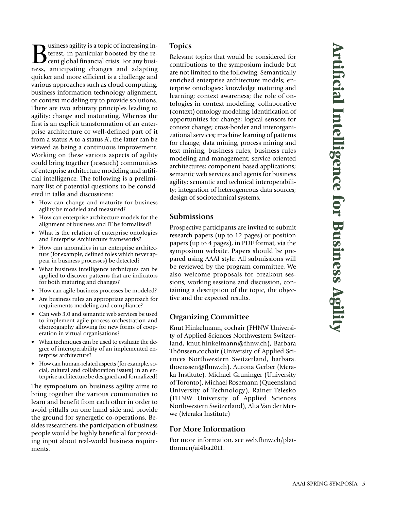Business agility is a topic of increasing in-<br>terest, in particular boosted by the re-<br>cent global financial crisis. For any busi-<br>ness anticipating changes and adapting terest, in particular boosted by the recent global financial crisis. For any business, anticipating changes and adapting quicker and more efficient is a challenge and various approaches such as cloud computing, business information technology alignment, or context modeling try to provide solutions. There are two arbitrary principles leading to agility: change and maturating. Whereas the first is an explicit transformation of an enterprise architecture or well-defined part of it from a status A to a status A', the latter can be viewed as being a continuous improvement. Working on these various aspects of agility could bring together (research) communities of enterprise architecture modeling and artificial intelligence. The following is a preliminary list of potential questions to be considered in talks and discussions:

- How can change and maturity for business agility be modeled and measured?
- How can enterprise architecture models for the alignment of business and IT be formalized?
- What is the relation of enterprise ontologies and Enterprise Architecture frameworks?
- How can anomalies in an enterprise architecture (for example, defined roles which never appear in business processes) be detected?
- What business intelligence techniques can be applied to discover patterns that are indicators for both maturing and changes?
- How can agile business processes be modeled?
- Are business rules an appropriate approach for requirements modeling and compliance?
- Can web 3.0 and semantic web services be used to implement agile process orchestration and choreography allowing for new forms of cooperation in virtual organisations?
- What techniques can be used to evaluate the degree of interoperability of an implemented enterprise architecture?
- How can human-related aspects (for example, social, cultural and collaboration issues) in an enterprise architecture be designed and formalized?

The symposium on business agility aims to bring together the various communities to learn and benefit from each other in order to avoid pitfalls on one hand side and provide the ground for synergetic co-operations. Besides researchers, the participation of business people would be highly beneficial for providing input about real-world business requirements.

# **Topics**

Relevant topics that would be considered for contributions to the symposium include but are not limited to the following: Semantically enriched enterprise architecture models; enterprise ontologies; knowledge maturing and learning; context awareness; the role of ontologies in context modeling; collaborative (context) ontology modeling; identification of opportunities for change; logical sensors for context change; cross-border and interorganizational services; machine learning of patterns for change; data mining, process mining and text mining; business rules; business rules modeling and management; service oriented architectures; component based applications; semantic web services and agents for business agility; semantic and technical interoperability; integration of heterogeneous data sources; design of sociotechnical systems.

#### **Submissions**

Prospective participants are invited to submit research papers (up to 12 pages) or position papers (up to 4 pages), in PDF format, via the symposium website. Papers should be prepared using AAAI style. All submissions will be reviewed by the program committee. We also welcome proposals for breakout sessions, working sessions and discussion, containing a description of the topic, the objective and the expected results.

# **Organizing Committee**

Knut Hinkelmann, cochair (FHNW University of Applied Sciences Northwestern Switzerland, knut.hinkelmann@fhnw.ch), Barbara Thönssen,cochair (University of Applied Sciences Northwestern Switzerland, barbara. thoenssen@fhnw.ch), Aurona Gerber (Meraka Institute), Michael Gruninger (University of Toronto), Michael Rosemann (Queensland University of Technology), Rainer Telesko (FHNW University of Applied Sciences Northwestern Switzerland), Alta Van der Merwe (Meraka Institute)

#### **For More Information**

For more information, see web.fhnw.ch/plattformen/ai4ba2011.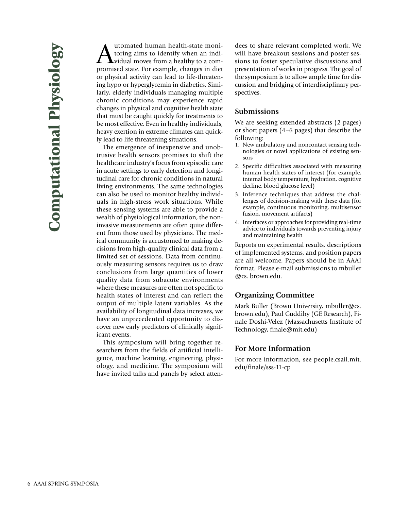utomated human health-state monitoring aims to identify when an individual moves from a healthy to a compromised state. For example, changes in diet or physical activity can lead to life-threatening hypo or hyperglycemia in diabetics. Similarly, elderly individuals managing multiple chronic conditions may experience rapid changes in physical and cognitive health state that must be caught quickly for treatments to be most effective. Even in healthy individuals, heavy exertion in extreme climates can quickly lead to life threatening situations.

The emergence of inexpensive and unobtrusive health sensors promises to shift the healthcare industry's focus from episodic care in acute settings to early detection and longitudinal care for chronic conditions in natural living environments. The same technologies can also be used to monitor healthy individuals in high-stress work situations. While these sensing systems are able to provide a wealth of physiological information, the noninvasive measurements are often quite different from those used by physicians. The medical community is accustomed to making decisions from high-quality clinical data from a limited set of sessions. Data from continuously measuring sensors requires us to draw conclusions from large quantities of lower quality data from subacute environments where these measures are often not specific to health states of interest and can reflect the output of multiple latent variables. As the availability of longitudinal data increases, we have an unprecedented opportunity to discover new early predictors of clinically significant events.

This symposium will bring together researchers from the fields of artificial intelligence, machine learning, engineering, physiology, and medicine. The symposium will have invited talks and panels by select attendees to share relevant completed work. We will have breakout sessions and poster sessions to foster speculative discussions and presentation of works in progress. The goal of the symposium is to allow ample time for discussion and bridging of interdisciplinary perspectives.

#### **Submissions**

We are seeking extended abstracts (2 pages) or short papers (4–6 pages) that describe the following:

- 1. New ambulatory and noncontact sensing technologies or novel applications of existing sensors
- 2. Specific difficulties associated with measuring human health states of interest (for example, internal body temperature, hydration, cognitive decline, blood glucose level)
- 3. Inference techniques that address the challenges of decision-making with these data (for example, continuous monitoring, multisensor fusion, movement artifacts)
- 4. Interfaces or approaches for providing real-time advice to individuals towards preventing injury and maintaining health

Reports on experimental results, descriptions of implemented systems, and position papers are all welcome. Papers should be in AAAI format. Please e-mail submissions to mbuller @cs. brown.edu.

#### **Organizing Committee**

Mark Buller (Brown University, mbuller@cs. brown.edu), Paul Cuddihy (GE Research), Finale Doshi-Velez (Massachusetts Institute of Technology, finale@mit.edu)

#### **For More Information**

For more information, see people.csail.mit. edu/finale/sss-11-cp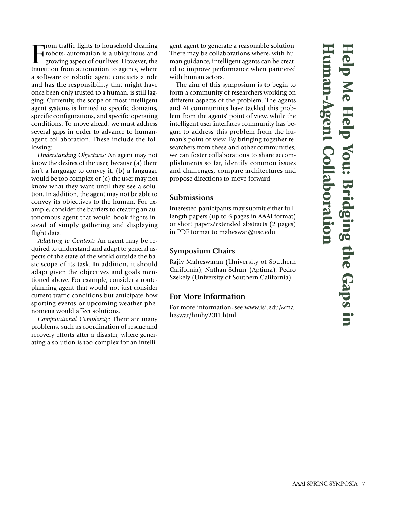**H e l p M e H e l p Yo u: B d**<br> **d**<br> **d**<br> **d**<br> **d**<br> **d**<br> **d g i n g th e G a p s i n H u m a n -Ag e n**  $\rightarrow$ **C o l l a b o r ati o n**

Trom traffic lights to household cleaning<br>robots, automation is a ubiquitous and<br>growing aspect of our lives. However, the<br>transition from automation to agency, where **Trom traffic lights to household cleaning** robots, automation is a ubiquitous and growing aspect of our lives. However, the a software or robotic agent conducts a role and has the responsibility that might have once been only trusted to a human, is still lagging. Currently, the scope of most intelligent agent systems is limited to specific domains, specific configurations, and specific operating conditions. To move ahead, we must address several gaps in order to advance to humanagent collaboration. These include the following:

*Understanding Objectives:* An agent may not know the desires of the user, because (a) there isn't a language to convey it, (b) a language would be too complex or (c) the user may not know what they want until they see a solution. In addition, the agent may not be able to convey its objectives to the human. For example, consider the barriers to creating an autonomous agent that would book flights instead of simply gathering and displaying flight data.

*Adapting to Context:* An agent may be required to understand and adapt to general aspects of the state of the world outside the basic scope of its task. In addition, it should adapt given the objectives and goals mentioned above. For example, consider a routeplanning agent that would not just consider current traffic conditions but anticipate how sporting events or upcoming weather phenomena would affect solutions.

*Computational Complexity:* There are many problems, such as coordination of rescue and recovery efforts after a disaster, where generating a solution is too complex for an intelligent agent to generate a reasonable solution. There may be collaborations where, with human guidance, intelligent agents can be created to improve performance when partnered with human actors.

The aim of this symposium is to begin to form a community of researchers working on different aspects of the problem. The agents and AI communities have tackled this problem from the agents' point of view, while the intelligent user interfaces community has begun to address this problem from the human's point of view. By bringing together researchers from these and other communities, we can foster collaborations to share accomplishments so far, identify common issues and challenges, compare architectures and propose directions to move forward.

# **Submissions**

Interested participants may submit either fulllength papers (up to 6 pages in AAAI format) or short papers/extended abstracts (2 pages) in PDF format to maheswar@usc.edu.

# **Symposium Chairs**

Rajiv Maheswaran (University of Southern California), Nathan Schurr (Aptima), Pedro Szekely (University of Southern California)

# **For More Information**

For more information, see www.isi.edu/~maheswar/hmhy2011.html.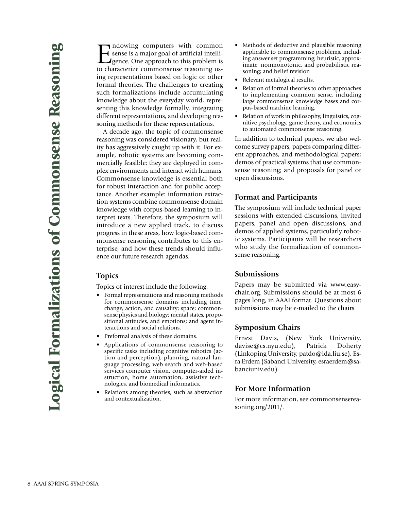Indowing computers with common<br>sense is a major goal of artificial intelli-<br>gence. One approach to this problem is<br>to characterize commonsense reasoning ussense is a major goal of artificial intelli-**I** gence. One approach to this problem is to characterize commonsense reasoning using representations based on logic or other formal theories. The challenges to creating such formalizations include accumulating knowledge about the everyday world, representing this knowledge formally, integrating different representations, and developing reasoning methods for these representations.

A decade ago, the topic of commonsense reasoning was considered visionary, but reality has aggressively caught up with it. For example, robotic systems are becoming commercially feasible; they are deployed in complex environments and interact with humans. Commonsense knowledge is essential both for robust interaction and for public acceptance. Another example: information extraction systems combine commonsense domain knowledge with corpus-based learning to interpret texts. Therefore, the symposium will introduce a new applied track, to discuss progress in these areas, how logic-based commonsense reasoning contributes to this enterprise, and how these trends should influence our future research agendas.

#### **Topics**

Topics of interest include the following:

- Formal representations and reasoning methods for commonsense domains including time, change, action, and causality; space; commonsense physics and biology; mental states, propositional attitudes, and emotions; and agent interactions and social relations.
- Preformal analysis of these domains.
- Applications of commonsense reasoning to specific tasks including cognitive robotics (action and perception), planning, natural language processing, web search and web-based services computer vision, computer-aided instruction, home automation, assistive technologies, and biomedical informatics.
- Relations among theories, such as abstraction and contextualization.
- Methods of deductive and plausible reasoning applicable to commonsense problems, including answer set programming; heuristic, approximate, nonmonotonic, and probabilistic reasoning; and belief revision
- Relevant metalogical results.
- Relation of formal theories to other approaches to implementing common sense, including large commonsense knowledge bases and corpus-based machine learning.
- Relation of work in philosophy, linguistics, cognitive psychology, game theory, and economics to automated commonsense reasoning.

In addition to technical papers, we also welcome survey papers, papers comparing different approaches, and methodological papers; demos of practical systems that use commonsense reasoning; and proposals for panel or open discussions.

#### **Format and Participants**

The symposium will include technical paper sessions with extended discussions, invited papers, panel and open discussions, and demos of applied systems, particularly robotic systems. Participants will be researchers who study the formalization of commonsense reasoning.

#### **Submissions**

Papers may be submitted via www.easychair.org. Submissions should be at most 6 pages long, in AAAI format. Questions about submissions may be e-mailed to the chairs.

#### **Symposium Chairs**

Ernest Davis, (New York University, davise@cs.nyu.edu), Patrick Doherty (Linkoping University, patdo@ida.liu.se), Esra Erdem (Sabanci University, esraerdem@sabanciuniv.edu)

#### **For More Information**

For more information, see commonsensereasoning.org/2011/.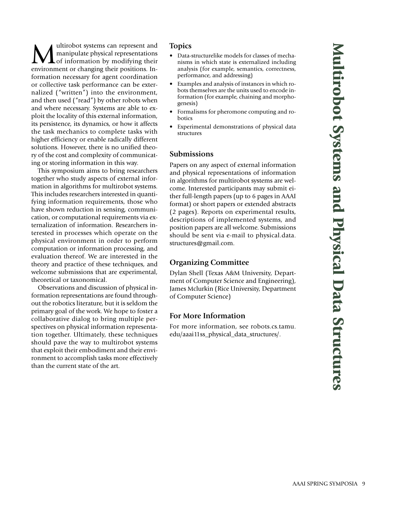**Multirobot systems can represent and<br>
Multipulate physical representations**<br> **Multipulate physical representations**<br> **Multipulate physical representations**<br> **Property** manipulate physical representations of information by modifying their environment or changing their positions. Information necessary for agent coordination or collective task performance can be externalized ("written") into the environment, and then used ("read") by other robots when and where necessary. Systems are able to exploit the locality of this external information, its persistence, its dynamics, or how it affects the task mechanics to complete tasks with higher efficiency or enable radically different solutions. However, there is no unified theory of the cost and complexity of communicating or storing information in this way.

This symposium aims to bring researchers together who study aspects of external information in algorithms for multirobot systems. This includes researchers interested in quantifying information requirements, those who have shown reduction in sensing, communication, or computational requirements via externalization of information. Researchers interested in processes which operate on the physical environment in order to perform computation or information processing, and evaluation thereof. We are interested in the theory and practice of these techniques, and welcome submissions that are experimental, theoretical or taxonomical.

Observations and discussion of physical information representations are found throughout the robotics literature, but it is seldom the primary goal of the work. We hope to foster a collaborative dialog to bring multiple perspectives on physical information representation together. Ultimately, these techniques should pave the way to multirobot systems that exploit their embodiment and their environment to accomplish tasks more effectively than the current state of the art.

# **Topics**

- Data-structurelike models for classes of mechanisms in which state is externalized including analysis (for example, semantics, correctness, performance, and addressing)
- Examples and analysis of instances in which robots themselves are the units used to encode information (for example, chaining and morphogenesis)
- Formalisms for pheromone computing and robotics
- Experimental demonstrations of physical data structures

#### **Submissions**

Papers on any aspect of external information and physical representations of information in algorithms for multirobot systems are welcome. Interested participants may submit either full-length papers (up to 6 pages in AAAI format) or short papers or extended abstracts (2 pages). Reports on experimental results, descriptions of implemented systems, and position papers are all welcome. Submissions should be sent via e-mail to physical.data. structures@gmail.com.

# **Organizing Committee**

Dylan Shell (Texas A&M University, Department of Computer Science and Engineering), James Mclurkin (Rice University, Department of Computer Science)

# **For More Information**

For more information, see robots.cs.tamu. edu/aaai11ss\_physical\_data\_structures/.